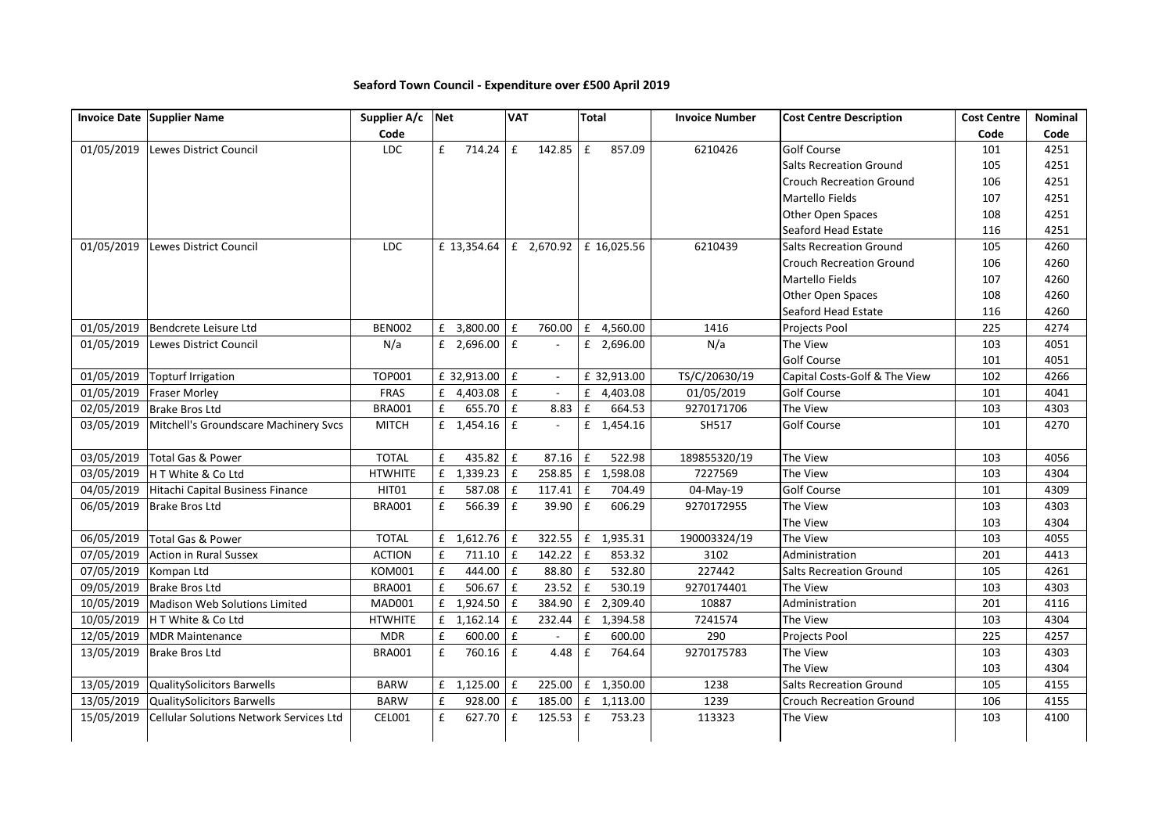## **Seaford Town Council - Expenditure over £500 April 2019**

|            | Invoice Date Supplier Name                     | Supplier A/c   | Net                  | <b>VAT</b>                   | <b>Total</b>                 | <b>Invoice Number</b> | <b>Cost Centre Description</b>  | <b>Cost Centre</b> | Nominal |
|------------|------------------------------------------------|----------------|----------------------|------------------------------|------------------------------|-----------------------|---------------------------------|--------------------|---------|
|            |                                                | Code           |                      |                              |                              |                       |                                 | Code               | Code    |
| 01/05/2019 | Lewes District Council                         | LDC            | £<br>714.24          | $\pmb{\mathsf{f}}$<br>142.85 | $\pmb{\mathsf{f}}$<br>857.09 | 6210426               | <b>Golf Course</b>              | 101                | 4251    |
|            |                                                |                |                      |                              |                              |                       | <b>Salts Recreation Ground</b>  | 105                | 4251    |
|            |                                                |                |                      |                              |                              |                       | <b>Crouch Recreation Ground</b> | 106                | 4251    |
|            |                                                |                |                      |                              |                              |                       | Martello Fields                 | 107                | 4251    |
|            |                                                |                |                      |                              |                              |                       | Other Open Spaces               | 108                | 4251    |
|            |                                                |                |                      |                              |                              |                       | Seaford Head Estate             | 116                | 4251    |
| 01/05/2019 | Lewes District Council                         | <b>LDC</b>     | £ 13,354.64          | £ 2,670.92                   | £ 16,025.56                  | 6210439               | <b>Salts Recreation Ground</b>  | 105                | 4260    |
|            |                                                |                |                      |                              |                              |                       | <b>Crouch Recreation Ground</b> | 106                | 4260    |
|            |                                                |                |                      |                              |                              |                       | Martello Fields                 | 107                | 4260    |
|            |                                                |                |                      |                              |                              |                       | Other Open Spaces               | 108                | 4260    |
|            |                                                |                |                      |                              |                              |                       | Seaford Head Estate             | 116                | 4260    |
| 01/05/2019 | Bendcrete Leisure Ltd                          | <b>BEN002</b>  | £ 3,800.00 $E$       | 760.00                       | £ 4,560.00                   | 1416                  | Projects Pool                   | 225                | 4274    |
| 01/05/2019 | Lewes District Council                         | N/a            | £ 2,696.00 $E$       |                              | £ 2,696.00                   | N/a                   | The View                        | 103                | 4051    |
|            |                                                |                |                      |                              |                              |                       | Golf Course                     | 101                | 4051    |
| 01/05/2019 | <b>Topturf Irrigation</b>                      | <b>TOP001</b>  | £ 32,913.00 $E$      | $\sim$                       | £ 32,913.00                  | TS/C/20630/19         | Capital Costs-Golf & The View   | 102                | 4266    |
| 01/05/2019 | <b>Fraser Morley</b>                           | FRAS           | £ $4,403.08$ £       | $\mathbb{L}$                 | £ 4,403.08                   | 01/05/2019            | Golf Course                     | 101                | 4041    |
| 02/05/2019 | <b>Brake Bros Ltd</b>                          | <b>BRA001</b>  | £<br>655.70 $E$      | 8.83                         | f<br>664.53                  | 9270171706            | The View                        | 103                | 4303    |
| 03/05/2019 | Mitchell's Groundscare Machinery Svcs          | <b>MITCH</b>   | $f = 1,454.16$ $f =$ | $\sim$                       | £ 1,454.16                   | SH517                 | <b>Golf Course</b>              | 101                | 4270    |
|            |                                                |                |                      |                              |                              |                       |                                 |                    |         |
| 03/05/2019 | Total Gas & Power                              | <b>TOTAL</b>   | £<br>435.82 E        | 87.16                        | $\pounds$<br>522.98          | 189855320/19          | The View                        | 103                | 4056    |
| 03/05/2019 | H T White & Co Ltd                             | <b>HTWHITE</b> | £ $1,339.23$ £       |                              | 258.85 £ 1,598.08            | 7227569               | The View                        | 103                | 4304    |
| 04/05/2019 | Hitachi Capital Business Finance               | HIT01          | £<br>$587.08$ £      | $117.41 \mid f$              | 704.49                       | 04-May-19             | Golf Course                     | 101                | 4309    |
| 06/05/2019 | <b>Brake Bros Ltd</b>                          | <b>BRA001</b>  | 566.39 $E$<br>£      | 39.90                        | $\pmb{\mathsf{f}}$<br>606.29 | 9270172955            | The View                        | 103                | 4303    |
|            |                                                |                |                      |                              |                              |                       | The View                        | 103                | 4304    |
| 06/05/2019 | Total Gas & Power                              | <b>TOTAL</b>   | $f = 1,612.76$ $f$   |                              | 322.55 £ 1,935.31            | 190003324/19          | The View                        | 103                | 4055    |
| 07/05/2019 | <b>Action in Rural Sussex</b>                  | <b>ACTION</b>  | £<br>$711.10$ £      | 142.22                       | $\pmb{\mathsf{f}}$<br>853.32 | 3102                  | Administration                  | 201                | 4413    |
| 07/05/2019 | Kompan Ltd                                     | <b>KOM001</b>  | £<br>444.00 £        | 88.80                        | $\mathbf{f}$<br>532.80       | 227442                | <b>Salts Recreation Ground</b>  | 105                | 4261    |
| 09/05/2019 | <b>Brake Bros Ltd</b>                          | <b>BRA001</b>  | £<br>506.67 $E$      | 23.52                        | $\pmb{\mathsf{f}}$<br>530.19 | 9270174401            | The View                        | 103                | 4303    |
| 10/05/2019 | Madison Web Solutions Limited                  | <b>MAD001</b>  | £<br>1,924.50        | $\mathbf{f}$<br>384.90       | £ 2,309.40                   | 10887                 | Administration                  | 201                | 4116    |
| 10/05/2019 | H T White & Co Ltd                             | <b>HTWHITE</b> | £ $1,162.14$         | $\mathbf f$<br>232.44        | £ 1,394.58                   | 7241574               | The View                        | 103                | 4304    |
| 12/05/2019 | <b>MDR Maintenance</b>                         | <b>MDR</b>     | £<br>$600.00$ £      |                              | £<br>600.00                  | 290                   | Projects Pool                   | 225                | 4257    |
| 13/05/2019 | <b>Brake Bros Ltd</b>                          | <b>BRA001</b>  | $760.16$ £<br>£      | 4.48                         | £<br>764.64                  | 9270175783            | The View                        | 103                | 4303    |
|            |                                                |                |                      |                              |                              |                       | The View                        | 103                | 4304    |
| 13/05/2019 | QualitySolicitors Barwells                     | <b>BARW</b>    | $f = 1,125.00$ $f =$ |                              | 225.00 £ 1,350.00            | 1238                  | <b>Salts Recreation Ground</b>  | 105                | 4155    |
| 13/05/2019 | QualitySolicitors Barwells                     | <b>BARW</b>    | 928.00 $E$<br>£      |                              | 185.00 £ 1,113.00            | 1239                  | <b>Crouch Recreation Ground</b> | 106                | 4155    |
| 15/05/2019 | <b>Cellular Solutions Network Services Ltd</b> | CEL001         | 627.70<br>£          | $\pmb{\mathsf{f}}$<br>125.53 | £<br>753.23                  | 113323                | The View                        | 103                | 4100    |
|            |                                                |                |                      |                              |                              |                       |                                 |                    |         |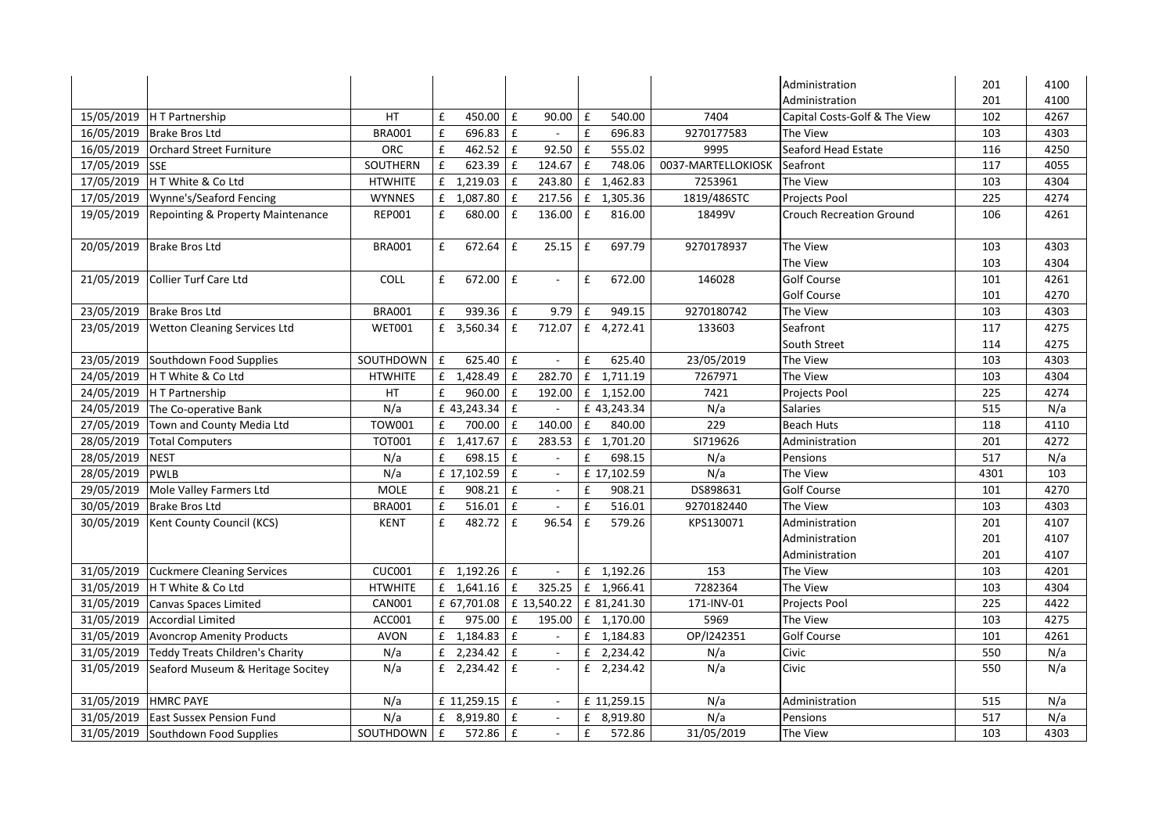|            |                                     |                |                  |                      |                    |                                 |                    |              |                    | Administration                  | 201  | 4100 |
|------------|-------------------------------------|----------------|------------------|----------------------|--------------------|---------------------------------|--------------------|--------------|--------------------|---------------------------------|------|------|
|            |                                     |                |                  |                      |                    |                                 |                    |              |                    | Administration                  | 201  | 4100 |
| 15/05/2019 | H T Partnership                     | HT             | £                | 450.00               | $\mathbf f$        | 90.00                           | $\mathbf f$        | 540.00       | 7404               | Capital Costs-Golf & The View   | 102  | 4267 |
| 16/05/2019 | <b>Brake Bros Ltd</b>               | <b>BRA001</b>  | £                | 696.83               | E                  | $\sim$                          | £                  | 696.83       | 9270177583         | The View                        | 103  | 4303 |
| 16/05/2019 | <b>Orchard Street Furniture</b>     | <b>ORC</b>     | £                | 462.52               | $\mathbf f$        | 92.50                           | $\pmb{\mathsf{f}}$ | 555.02       | 9995               | Seaford Head Estate             | 116  | 4250 |
| 17/05/2019 | <b>SSE</b>                          | SOUTHERN       | £                | $623.39$ $E$         |                    | 124.67                          | $\mathbf f$        | 748.06       | 0037-MARTELLOKIOSK | Seafront                        | 117  | 4055 |
| 17/05/2019 | H T White & Co Ltd                  | <b>HTWHITE</b> | £                | $1,219.03$ £         |                    | 243.80                          | £                  | 1,462.83     | 7253961            | The View                        | 103  | 4304 |
| 17/05/2019 | Wynne's/Seaford Fencing             | <b>WYNNES</b>  |                  | £ 1,087.80           | $\mathbf f$        | 217.56                          |                    | £ 1,305.36   | 1819/486STC        | Projects Pool                   | 225  | 4274 |
| 19/05/2019 | Repointing & Property Maintenance   | <b>REP001</b>  | £                | 680.00               | £                  | 136.00                          | £                  | 816.00       | 18499V             | <b>Crouch Recreation Ground</b> | 106  | 4261 |
| 20/05/2019 | <b>Brake Bros Ltd</b>               | <b>BRA001</b>  | £                | 672.64               | $\mathbf{f}$       | 25.15                           | £                  | 697.79       | 9270178937         | The View                        | 103  | 4303 |
|            |                                     |                |                  |                      |                    |                                 |                    |              |                    | The View                        | 103  | 4304 |
| 21/05/2019 | <b>Collier Turf Care Ltd</b>        | <b>COLL</b>    | £                | 672.00               | $\pmb{\mathsf{f}}$ |                                 | £                  | 672.00       | 146028             | <b>Golf Course</b>              | 101  | 4261 |
|            |                                     |                |                  |                      |                    |                                 |                    |              |                    | <b>Golf Course</b>              | 101  | 4270 |
| 23/05/2019 | <b>Brake Bros Ltd</b>               | <b>BRA001</b>  | £                | 939.36               | l £                | 9.79                            | £                  | 949.15       | 9270180742         | The View                        | 103  | 4303 |
| 23/05/2019 | <b>Wetton Cleaning Services Ltd</b> | <b>WET001</b>  |                  | £ 3,560.34           | $\mathbf{f}$       | 712.07                          |                    | £ 4,272.41   | 133603             | Seafront                        | 117  | 4275 |
|            |                                     |                |                  |                      |                    |                                 |                    |              |                    | South Street                    | 114  | 4275 |
| 23/05/2019 | Southdown Food Supplies             | SOUTHDOWN      | $\mathbf{f}$     | $625.40$ E           |                    |                                 | £                  | 625.40       | 23/05/2019         | The View                        | 103  | 4303 |
| 24/05/2019 | H T White & Co Ltd                  | <b>HTWHITE</b> | £                | 1,428.49 £           |                    | 282.70                          |                    | £ 1,711.19   | 7267971            | The View                        | 103  | 4304 |
| 24/05/2019 | <b>HT</b> Partnership               | HT             | £                | 960.00               | $\mathbf f$        | 192.00                          |                    | £ 1,152.00   | 7421               | Projects Pool                   | 225  | 4274 |
| 24/05/2019 | The Co-operative Bank               | N/a            |                  | £ 43,243.34          | l £                |                                 |                    | £ 43,243.34  | N/a                | Salaries                        | 515  | N/a  |
| 27/05/2019 | Town and County Media Ltd           | <b>TOW001</b>  | £                | 700.00               | l £                | 140.00                          | £                  | 840.00       | 229                | <b>Beach Huts</b>               | 118  | 4110 |
| 28/05/2019 | <b>Total Computers</b>              | <b>TOT001</b>  |                  | £ $1,417.67$ £       |                    | 283.53                          |                    | £ 1,701.20   | SI719626           | Administration                  | 201  | 4272 |
| 28/05/2019 | <b>NEST</b>                         | N/a            | £                | 698.15               | E                  |                                 | £                  | 698.15       | N/a                | Pensions                        | 517  | N/a  |
| 28/05/2019 | <b>PWLB</b>                         | N/a            |                  | £ 17,102.59          | £                  | $\blacksquare$                  |                    | £ 17,102.59  | N/a                | The View                        | 4301 | 103  |
| 29/05/2019 | Mole Valley Farmers Ltd             | <b>MOLE</b>    | £                | 908.21               | E                  | $\blacksquare$                  | £                  | 908.21       | DS898631           | Golf Course                     | 101  | 4270 |
| 30/05/2019 | <b>Brake Bros Ltd</b>               | <b>BRA001</b>  | £                | 516.01               | $\mathbf f$        |                                 | $\pmb{\mathtt{f}}$ | 516.01       | 9270182440         | The View                        | 103  | 4303 |
| 30/05/2019 | Kent County Council (KCS)           | <b>KENT</b>    | £                | 482.72               | £                  | 96.54                           | £                  | 579.26       | KPS130071          | Administration                  | 201  | 4107 |
|            |                                     |                |                  |                      |                    |                                 |                    |              |                    | Administration                  | 201  | 4107 |
|            |                                     |                |                  |                      |                    |                                 |                    |              |                    | Administration                  | 201  | 4107 |
| 31/05/2019 | <b>Cuckmere Cleaning Services</b>   | <b>CUC001</b>  |                  | $f$ 1,192.26 $f$     |                    | $\sim$                          |                    | £ 1,192.26   | 153                | The View                        | 103  | 4201 |
| 31/05/2019 | H T White & Co Ltd                  | <b>HTWHITE</b> |                  | £ $1,641.16$ £       |                    | 325.25                          |                    | £ 1,966.41   | 7282364            | The View                        | 103  | 4304 |
| 31/05/2019 | <b>Canvas Spaces Limited</b>        | <b>CAN001</b>  |                  |                      |                    | £ 67,701.08 $\vert$ £ 13,540.22 |                    | £ 81,241.30  | 171-INV-01         | Projects Pool                   | 225  | 4422 |
| 31/05/2019 | <b>Accordial Limited</b>            | ACC001         | £                | 975.00               | $\pmb{\mathsf{f}}$ | 195.00                          |                    | $f$ 1,170.00 | 5969               | The View                        | 103  | 4275 |
| 31/05/2019 | <b>Avoncrop Amenity Products</b>    | <b>AVON</b>    |                  | $f = 1,184.83$ $f =$ |                    |                                 |                    | £ 1,184.83   | OP/I242351         | Golf Course                     | 101  | 4261 |
| 31/05/2019 | Teddy Treats Children's Charity     | N/a            |                  | £ 2,234.42 $E$       |                    | $\omega$                        |                    | £ 2,234.42   | N/a                | Civic                           | 550  | N/a  |
| 31/05/2019 | Seaford Museum & Heritage Socitey   | N/a            |                  | £ 2,234.42 $E$       |                    |                                 |                    | £ 2,234.42   | N/a                | Civic                           | 550  | N/a  |
| 31/05/2019 | <b>HMRC PAYE</b>                    | N/a            |                  | £ 11,259.15 $E$      |                    |                                 |                    | £ 11,259.15  | N/a                | Administration                  | 515  | N/a  |
| 31/05/2019 | <b>East Sussex Pension Fund</b>     | N/a            |                  | £ 8,919.80 $E$       |                    |                                 | £                  | 8,919.80     | N/a                | Pensions                        | 517  | N/a  |
| 31/05/2019 | Southdown Food Supplies             | SOUTHDOWN      | $\pmb{\text{f}}$ | 572.86 £             |                    |                                 | £                  | 572.86       | 31/05/2019         | The View                        | 103  | 4303 |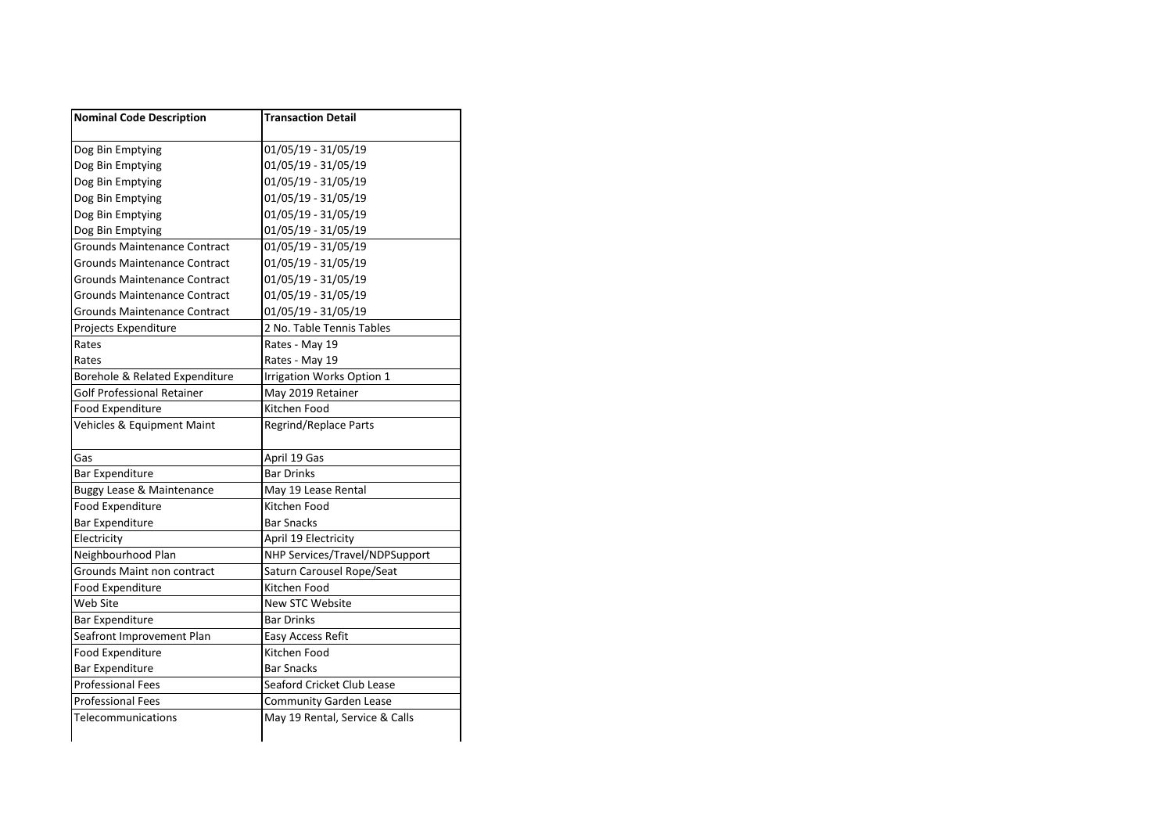| <b>Nominal Code Description</b>      | <b>Transaction Detail</b>      |
|--------------------------------------|--------------------------------|
| Dog Bin Emptying                     | 01/05/19 - 31/05/19            |
| Dog Bin Emptying                     | 01/05/19 - 31/05/19            |
| Dog Bin Emptying                     | 01/05/19 - 31/05/19            |
| Dog Bin Emptying                     | 01/05/19 - 31/05/19            |
| Dog Bin Emptying                     | 01/05/19 - 31/05/19            |
| Dog Bin Emptying                     | 01/05/19 - 31/05/19            |
| <b>Grounds Maintenance Contract</b>  | 01/05/19 - 31/05/19            |
| Grounds Maintenance Contract         | 01/05/19 - 31/05/19            |
| Grounds Maintenance Contract         | 01/05/19 - 31/05/19            |
| <b>Grounds Maintenance Contract</b>  | 01/05/19 - 31/05/19            |
| Grounds Maintenance Contract         | 01/05/19 - 31/05/19            |
| Projects Expenditure                 | 2 No. Table Tennis Tables      |
| Rates                                | Rates - May 19                 |
| Rates                                | Rates - May 19                 |
| Borehole & Related Expenditure       | Irrigation Works Option 1      |
| Golf Professional Retainer           | May 2019 Retainer              |
| <b>Food Expenditure</b>              | Kitchen Food                   |
| Vehicles & Equipment Maint           | Regrind/Replace Parts          |
| Gas                                  | April 19 Gas                   |
| Bar Expenditure                      | <b>Bar Drinks</b>              |
| <b>Buggy Lease &amp; Maintenance</b> | May 19 Lease Rental            |
| Food Expenditure                     | Kitchen Food                   |
|                                      |                                |
| <b>Bar Expenditure</b>               | <b>Bar Snacks</b>              |
| Electricity                          | April 19 Electricity           |
| Neighbourhood Plan                   | NHP Services/Travel/NDPSupport |
| Grounds Maint non contract           | Saturn Carousel Rope/Seat      |
| Food Expenditure                     | Kitchen Food                   |
| Web Site                             | <b>New STC Website</b>         |
| <b>Bar Expenditure</b>               | <b>Bar Drinks</b>              |
| Seafront Improvement Plan            | Easy Access Refit              |
| Food Expenditure                     | Kitchen Food                   |
| <b>Bar Expenditure</b>               | <b>Bar Snacks</b>              |
| <b>Professional Fees</b>             | Seaford Cricket Club Lease     |
| <b>Professional Fees</b>             | <b>Community Garden Lease</b>  |